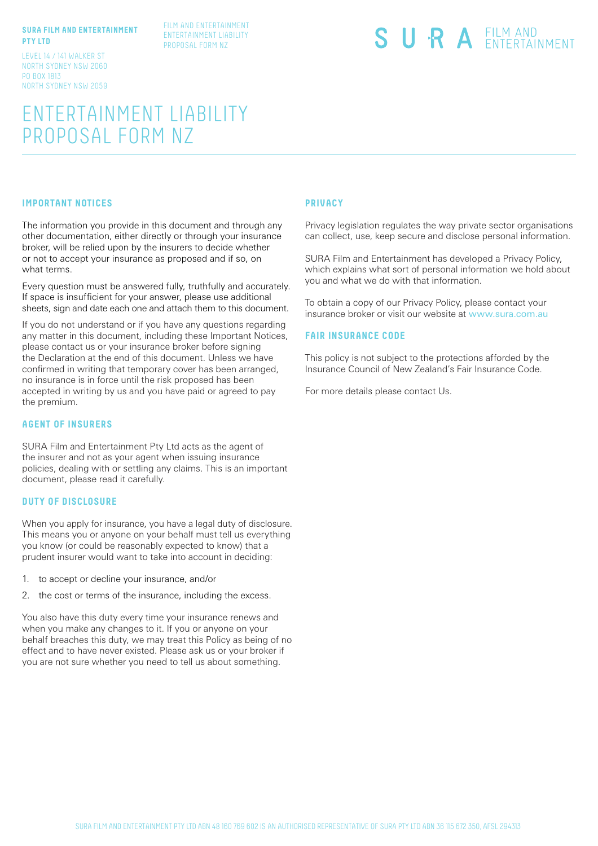### **SURA FILM AND ENTERTAINMENT PTY LTD**

LEVEL 14 / 141 WALKER ST NORTH SYDNEY NSW 2060 PO BOX 1813 NORTH SYDNEY NSW 2059

#### FILM AND ENTERTAINMENT ENTERTAINMENT LIABILITY PROPOSAL FORM NZ

SURA EILM AND

# ENTERTAINMENT LIABILITY PROPOSAL FORM NZ

### **IMPORTANT NOTICES**

The information you provide in this document and through any other documentation, either directly or through your insurance broker, will be relied upon by the insurers to decide whether or not to accept your insurance as proposed and if so, on what terms.

Every question must be answered fully, truthfully and accurately. If space is insufficient for your answer, please use additional sheets, sign and date each one and attach them to this document.

If you do not understand or if you have any questions regarding any matter in this document, including these Important Notices, please contact us or your insurance broker before signing the Declaration at the end of this document. Unless we have confirmed in writing that temporary cover has been arranged, no insurance is in force until the risk proposed has been accepted in writing by us and you have paid or agreed to pay the premium.

# **AGENT OF INSURERS**

SURA Film and Entertainment Pty Ltd acts as the agent of the insurer and not as your agent when issuing insurance policies, dealing with or settling any claims. This is an important document, please read it carefully.

## **DUTY OF DISCLOSURE**

When you apply for insurance, you have a legal duty of disclosure. This means you or anyone on your behalf must tell us everything you know (or could be reasonably expected to know) that a prudent insurer would want to take into account in deciding:

- 1. to accept or decline your insurance, and/or
- 2. the cost or terms of the insurance, including the excess.

You also have this duty every time your insurance renews and when you make any changes to it. If you or anyone on your behalf breaches this duty, we may treat this Policy as being of no effect and to have never existed. Please ask us or your broker if you are not sure whether you need to tell us about something.

# **PRIVACY**

Privacy legislation regulates the way private sector organisations can collect, use, keep secure and disclose personal information.

SURA Film and Entertainment has developed a Privacy Policy, which explains what sort of personal information we hold about you and what we do with that information.

To obtain a copy of our Privacy Policy, please contact your insurance broker or visit our website at www.sura.com.au

#### **FAIR INSURANCE CODE**

This policy is not subject to the protections afforded by the Insurance Council of New Zealand's Fair Insurance Code.

For more details please contact Us.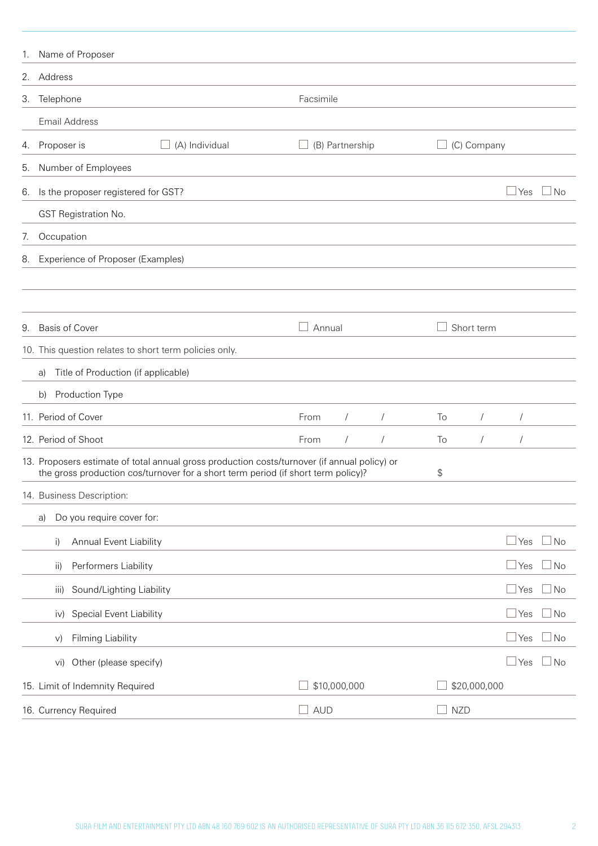| 1. | Name of Proposer                                                                                                                                                                  |                                  |             |              |              |           |
|----|-----------------------------------------------------------------------------------------------------------------------------------------------------------------------------------|----------------------------------|-------------|--------------|--------------|-----------|
| 2. | Address                                                                                                                                                                           |                                  |             |              |              |           |
| 3. | Telephone                                                                                                                                                                         | Facsimile                        |             |              |              |           |
|    | <b>Email Address</b>                                                                                                                                                              |                                  |             |              |              |           |
| 4. | (A) Individual<br>Proposer is                                                                                                                                                     | (B) Partnership                  | (C) Company |              |              |           |
| 5. | Number of Employees                                                                                                                                                               |                                  |             |              |              |           |
| 6. | Is the proposer registered for GST?                                                                                                                                               |                                  |             |              | Yes          | ⊿ No      |
|    | GST Registration No.                                                                                                                                                              |                                  |             |              |              |           |
| 7. | Occupation                                                                                                                                                                        |                                  |             |              |              |           |
| 8. | Experience of Proposer (Examples)                                                                                                                                                 |                                  |             |              |              |           |
|    |                                                                                                                                                                                   |                                  |             |              |              |           |
|    |                                                                                                                                                                                   |                                  |             |              |              |           |
| 9. | <b>Basis of Cover</b>                                                                                                                                                             | Annual                           | Short term  |              |              |           |
|    | 10. This question relates to short term policies only.                                                                                                                            |                                  |             |              |              |           |
|    | Title of Production (if applicable)<br>a)                                                                                                                                         |                                  |             |              |              |           |
|    | Production Type<br>b)                                                                                                                                                             |                                  |             |              |              |           |
|    | 11. Period of Cover                                                                                                                                                               | $\sqrt{2}$<br>$\sqrt{ }$<br>From | To          | $\sqrt{ }$   | $\sqrt{2}$   |           |
|    | 12. Period of Shoot                                                                                                                                                               | From<br>$\sqrt{2}$<br>$\sqrt{2}$ | To          | $\sqrt{2}$   | $\sqrt{2}$   |           |
|    | 13. Proposers estimate of total annual gross production costs/turnover (if annual policy) or<br>the gross production cos/turnover for a short term period (if short term policy)? |                                  | \$          |              |              |           |
|    | 14. Business Description:                                                                                                                                                         |                                  |             |              |              |           |
|    | Do you require cover for:<br>a)                                                                                                                                                   |                                  |             |              |              |           |
|    | Annual Event Liability<br>i)                                                                                                                                                      |                                  |             |              | Yes          | $\Box$ No |
|    | Performers Liability<br>ii)                                                                                                                                                       |                                  |             |              | <u> </u> Yes | $\Box$ No |
|    | Sound/Lighting Liability<br>iii)                                                                                                                                                  |                                  |             |              | Yes          | $\Box$ No |
|    | Special Event Liability<br>iv)                                                                                                                                                    |                                  |             |              | Yes          | $\Box$ No |
|    | Filming Liability<br>V)                                                                                                                                                           |                                  |             |              | Yes          | $\Box$ No |
|    | Other (please specify)<br>Vi)                                                                                                                                                     |                                  |             |              | Yes          | ⊿ No      |
|    | 15. Limit of Indemnity Required                                                                                                                                                   | \$10,000,000                     |             | \$20,000,000 |              |           |
|    | 16. Currency Required                                                                                                                                                             | <b>AUD</b>                       | <b>NZD</b>  |              |              |           |
|    |                                                                                                                                                                                   |                                  |             |              |              |           |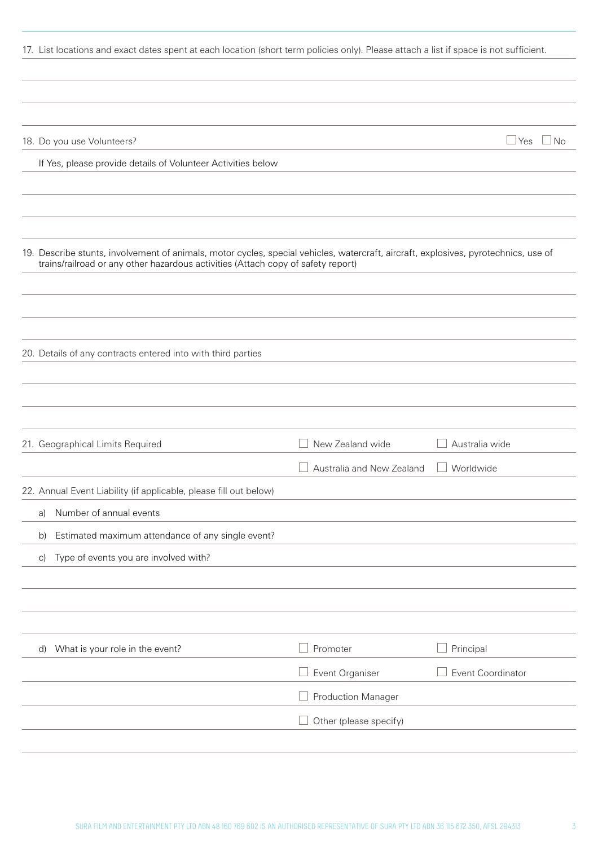| 17. List locations and exact dates spent at each location (short term policies only). Please attach a list if space is not sufficient.                                                                                  |                                               |                             |
|-------------------------------------------------------------------------------------------------------------------------------------------------------------------------------------------------------------------------|-----------------------------------------------|-----------------------------|
|                                                                                                                                                                                                                         |                                               |                             |
| 18. Do you use Volunteers?                                                                                                                                                                                              |                                               | $\Box$ Yes $\Box$ No        |
| If Yes, please provide details of Volunteer Activities below                                                                                                                                                            |                                               |                             |
|                                                                                                                                                                                                                         |                                               |                             |
| 19. Describe stunts, involvement of animals, motor cycles, special vehicles, watercraft, aircraft, explosives, pyrotechnics, use of<br>trains/railroad or any other hazardous activities (Attach copy of safety report) |                                               |                             |
| 20. Details of any contracts entered into with third parties                                                                                                                                                            |                                               |                             |
|                                                                                                                                                                                                                         |                                               |                             |
| 21. Geographical Limits Required                                                                                                                                                                                        | New Zealand wide<br>Australia and New Zealand | Australia wide<br>Worldwide |
| 22. Annual Event Liability (if applicable, please fill out below)                                                                                                                                                       |                                               |                             |
| Number of annual events<br>a)                                                                                                                                                                                           |                                               |                             |
| Estimated maximum attendance of any single event?<br>b)                                                                                                                                                                 |                                               |                             |
| Type of events you are involved with?<br>$\vert$ C)                                                                                                                                                                     |                                               |                             |
|                                                                                                                                                                                                                         |                                               |                             |
| What is your role in the event?<br>d)                                                                                                                                                                                   | Promoter                                      | Principal                   |
|                                                                                                                                                                                                                         | Event Organiser                               | Event Coordinator           |
|                                                                                                                                                                                                                         | <b>Production Manager</b>                     |                             |
|                                                                                                                                                                                                                         |                                               |                             |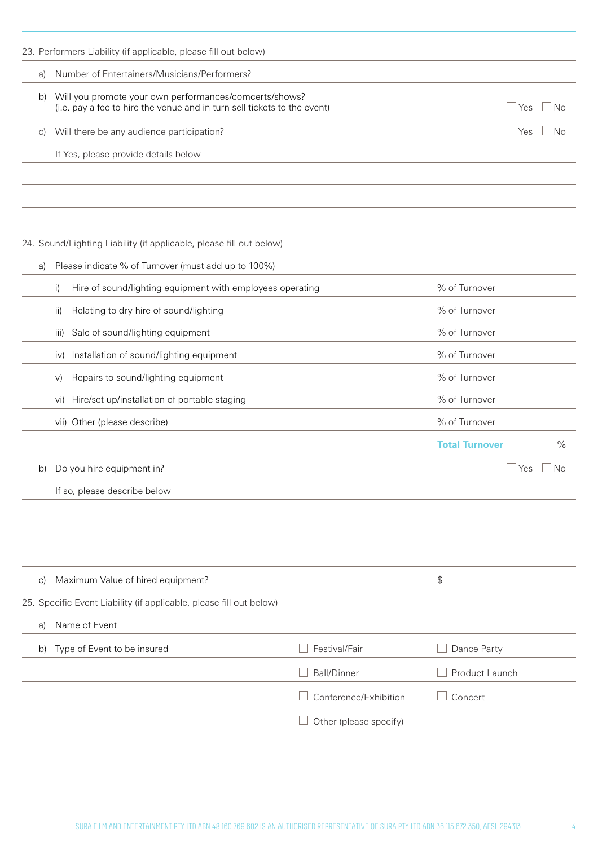|            | 23. Performers Liability (if applicable, please fill out below)                                                                    |                        |                       |               |
|------------|------------------------------------------------------------------------------------------------------------------------------------|------------------------|-----------------------|---------------|
| a)         | Number of Entertainers/Musicians/Performers?                                                                                       |                        |                       |               |
| b)         | Will you promote your own performances/comcerts/shows?<br>(i.e. pay a fee to hire the venue and in turn sell tickets to the event) |                        | $\Box$ Yes            | l No          |
| C)         | Will there be any audience participation?                                                                                          |                        | $\Box$ Yes            | l No          |
|            | If Yes, please provide details below                                                                                               |                        |                       |               |
|            |                                                                                                                                    |                        |                       |               |
|            |                                                                                                                                    |                        |                       |               |
|            | 24. Sound/Lighting Liability (if applicable, please fill out below)                                                                |                        |                       |               |
| a)         | Please indicate % of Turnover (must add up to 100%)                                                                                |                        |                       |               |
|            | Hire of sound/lighting equipment with employees operating<br>i)                                                                    |                        | % of Turnover         |               |
|            | Relating to dry hire of sound/lighting<br>$\mathsf{ii}$                                                                            |                        | % of Turnover         |               |
|            | Sale of sound/lighting equipment<br>iii)                                                                                           |                        | % of Turnover         |               |
|            | Installation of sound/lighting equipment<br>iv)                                                                                    |                        | % of Turnover         |               |
|            | Repairs to sound/lighting equipment<br>V)                                                                                          |                        | % of Turnover         |               |
|            | Hire/set up/installation of portable staging<br>Vi)                                                                                |                        | % of Turnover         |               |
|            | vii) Other (please describe)                                                                                                       |                        | % of Turnover         |               |
|            |                                                                                                                                    |                        | <b>Total Turnover</b> | $\frac{0}{0}$ |
| b)         | Do you hire equipment in?                                                                                                          |                        | ⊥Yes                  | No.           |
|            | If so, please describe below                                                                                                       |                        |                       |               |
|            |                                                                                                                                    |                        |                       |               |
|            |                                                                                                                                    |                        |                       |               |
|            |                                                                                                                                    |                        |                       |               |
| $\vert$ c) | Maximum Value of hired equipment?                                                                                                  |                        | \$                    |               |
|            | 25. Specific Event Liability (if applicable, please fill out below)                                                                |                        |                       |               |
| a)         | Name of Event                                                                                                                      |                        |                       |               |
| b)         | Type of Event to be insured                                                                                                        | Festival/Fair          | Dance Party           |               |
|            |                                                                                                                                    | <b>Ball/Dinner</b>     | Product Launch        |               |
|            |                                                                                                                                    | Conference/Exhibition  | Concert               |               |
|            |                                                                                                                                    | Other (please specify) |                       |               |
|            |                                                                                                                                    |                        |                       |               |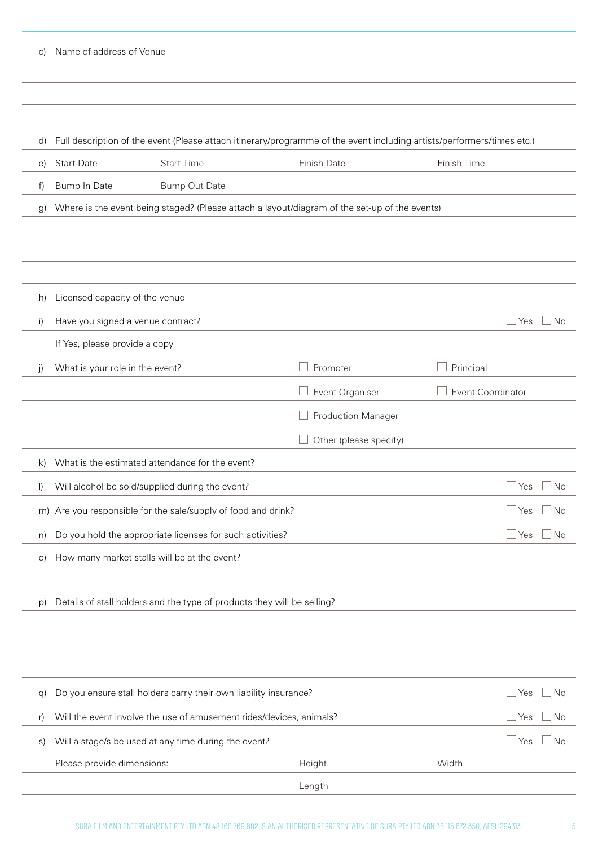| C)           | Name of address of Venue                           |                                                                         |                                                                                                                        |                   |                                   |
|--------------|----------------------------------------------------|-------------------------------------------------------------------------|------------------------------------------------------------------------------------------------------------------------|-------------------|-----------------------------------|
|              |                                                    |                                                                         |                                                                                                                        |                   |                                   |
|              |                                                    |                                                                         |                                                                                                                        |                   |                                   |
| d)           |                                                    |                                                                         | Full description of the event (Please attach itinerary/programme of the event including artists/performers/times etc.) |                   |                                   |
| $\Theta$     | <b>Start Date</b>                                  | <b>Start Time</b>                                                       | Finish Date                                                                                                            | Finish Time       |                                   |
| f)           | Bump In Date                                       | <b>Bump Out Date</b>                                                    |                                                                                                                        |                   |                                   |
| $\mathbf{g}$ |                                                    |                                                                         | Where is the event being staged? (Please attach a layout/diagram of the set-up of the events)                          |                   |                                   |
|              |                                                    |                                                                         |                                                                                                                        |                   |                                   |
|              |                                                    |                                                                         |                                                                                                                        |                   |                                   |
| h)           | Licensed capacity of the venue                     |                                                                         |                                                                                                                        |                   |                                   |
| i)           | Have you signed a venue contract?                  |                                                                         |                                                                                                                        |                   | $\Box$ No<br>$\sqcup$ Yes         |
|              | If Yes, please provide a copy                      |                                                                         |                                                                                                                        |                   |                                   |
| $\mathbf{j}$ | What is your role in the event?                    |                                                                         | Promoter                                                                                                               | Principal         |                                   |
|              |                                                    |                                                                         | Event Organiser                                                                                                        | Event Coordinator |                                   |
|              |                                                    |                                                                         | <b>Production Manager</b>                                                                                              |                   |                                   |
|              |                                                    |                                                                         | Other (please specify)                                                                                                 |                   |                                   |
| k)           |                                                    | What is the estimated attendance for the event?                         |                                                                                                                        |                   |                                   |
|              | I) Will alcohol be sold/supplied during the event? |                                                                         |                                                                                                                        |                   | $\Box$ Yes<br>$\Box$ No           |
| m)           |                                                    | Are you responsible for the sale/supply of food and drink?              |                                                                                                                        |                   | $\exists$ Yes<br>$\Box$ No        |
| n)           |                                                    | Do you hold the appropriate licenses for such activities?               |                                                                                                                        |                   | $\mathsf{\perp}$ Yes<br>$\Box$ No |
| O)           | How many market stalls will be at the event?       |                                                                         |                                                                                                                        |                   |                                   |
| p)           |                                                    | Details of stall holders and the type of products they will be selling? |                                                                                                                        |                   |                                   |
|              |                                                    |                                                                         |                                                                                                                        |                   |                                   |
|              |                                                    |                                                                         |                                                                                                                        |                   |                                   |
| q)           |                                                    | Do you ensure stall holders carry their own liability insurance?        |                                                                                                                        |                   | $\mathsf{\perp}$ Yes<br>⊥No       |
| r)           |                                                    | Will the event involve the use of amusement rides/devices, animals?     |                                                                                                                        |                   | $\mathsf{\perp}$ Yes<br>⊿ No      |
| s)           |                                                    | Will a stage/s be used at any time during the event?                    |                                                                                                                        |                   | $\sqcup$ Yes<br>⊥No               |
|              | Please provide dimensions:                         |                                                                         | Height                                                                                                                 | Width             |                                   |
|              |                                                    |                                                                         | Length                                                                                                                 |                   |                                   |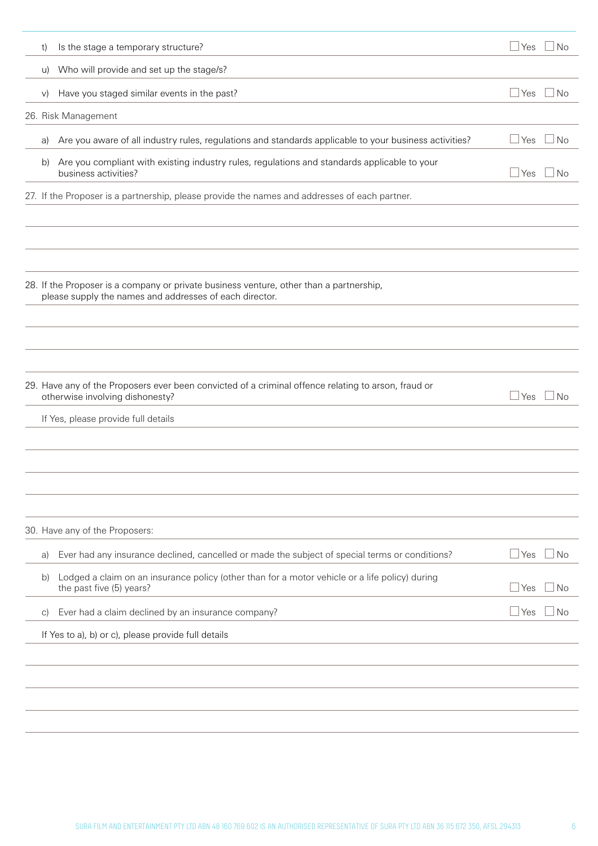| t)         | Is the stage a temporary structure?                                                                                                                |     | Yes $\Box$ No               |
|------------|----------------------------------------------------------------------------------------------------------------------------------------------------|-----|-----------------------------|
| U)         | Who will provide and set up the stage/s?                                                                                                           |     |                             |
| $\vee$     | Have you staged similar events in the past?                                                                                                        | Yes | No                          |
|            | 26. Risk Management                                                                                                                                |     |                             |
| a)         | Are you aware of all industry rules, regulations and standards applicable to your business activities?                                             | Yes | ⊥No                         |
| b)         | Are you compliant with existing industry rules, regulations and standards applicable to your<br>business activities?                               | Yes | $\n  1$ No                  |
|            | 27. If the Proposer is a partnership, please provide the names and addresses of each partner.                                                      |     |                             |
|            | 28. If the Proposer is a company or private business venture, other than a partnership,<br>please supply the names and addresses of each director. |     |                             |
|            | 29. Have any of the Proposers ever been convicted of a criminal offence relating to arson, fraud or<br>otherwise involving dishonesty?             | Yes | ⊥No                         |
|            | If Yes, please provide full details                                                                                                                |     |                             |
|            | 30. Have any of the Proposers:                                                                                                                     |     |                             |
| a)         | Ever had any insurance declined, cancelled or made the subject of special terms or conditions?                                                     | Yes | $\sqcup$ No                 |
| b)         | Lodged a claim on an insurance policy (other than for a motor vehicle or a life policy) during<br>the past five (5) years?                         | Yes | $\overline{\phantom{1}}$ No |
| $\vert$ C) | Ever had a claim declined by an insurance company?                                                                                                 | Yes | $\overline{\phantom{1}}$ No |
|            | If Yes to a), b) or c), please provide full details                                                                                                |     |                             |
|            |                                                                                                                                                    |     |                             |
|            |                                                                                                                                                    |     |                             |
|            |                                                                                                                                                    |     |                             |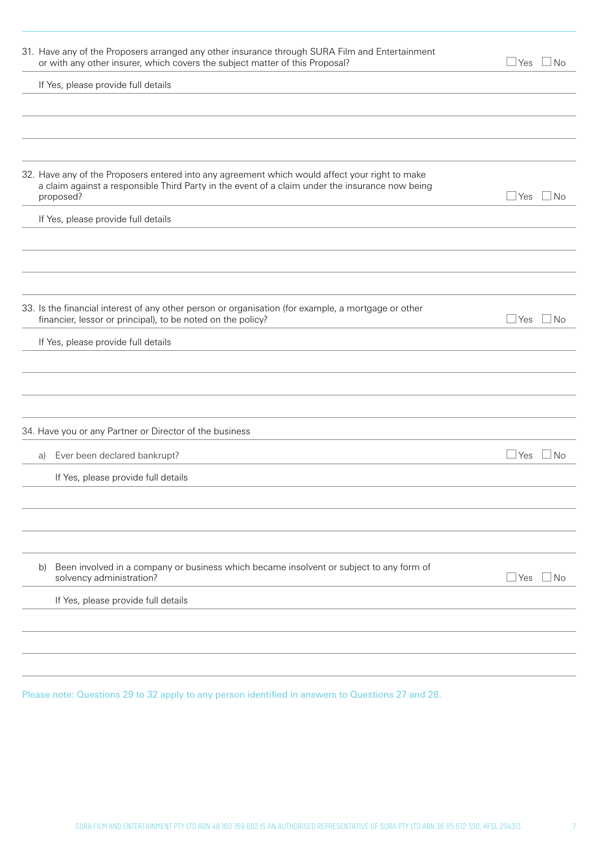| 31. Have any of the Proposers arranged any other insurance through SURA Film and Entertainment<br>or with any other insurer, which covers the subject matter of this Proposal?                                 | l Yes<br>- I No      |
|----------------------------------------------------------------------------------------------------------------------------------------------------------------------------------------------------------------|----------------------|
| If Yes, please provide full details                                                                                                                                                                            |                      |
|                                                                                                                                                                                                                |                      |
|                                                                                                                                                                                                                |                      |
|                                                                                                                                                                                                                |                      |
| 32. Have any of the Proposers entered into any agreement which would affect your right to make<br>a claim against a responsible Third Party in the event of a claim under the insurance now being<br>proposed? | <b>Yes</b><br>l INo  |
| If Yes, please provide full details                                                                                                                                                                            |                      |
|                                                                                                                                                                                                                |                      |
|                                                                                                                                                                                                                |                      |
|                                                                                                                                                                                                                |                      |
| 33. Is the financial interest of any other person or organisation (for example, a mortgage or other<br>financier, lessor or principal), to be noted on the policy?                                             | l Yes<br>  No        |
| If Yes, please provide full details                                                                                                                                                                            |                      |
|                                                                                                                                                                                                                |                      |
|                                                                                                                                                                                                                |                      |
|                                                                                                                                                                                                                |                      |
| 34. Have you or any Partner or Director of the business                                                                                                                                                        |                      |
| Ever been declared bankrupt?<br>a)                                                                                                                                                                             | ⊿Yes ∟No             |
| If Yes, please provide full details                                                                                                                                                                            |                      |
|                                                                                                                                                                                                                |                      |
|                                                                                                                                                                                                                |                      |
|                                                                                                                                                                                                                |                      |
| Been involved in a company or business which became insolvent or subject to any form of<br>b)<br>solvency administration?                                                                                      | $\sqcup$ Yes<br>l No |
| If Yes, please provide full details                                                                                                                                                                            |                      |
|                                                                                                                                                                                                                |                      |
|                                                                                                                                                                                                                |                      |
|                                                                                                                                                                                                                |                      |

Please note: Questions 29 to 32 apply to any person identified in answers to Questions 27 and 28.